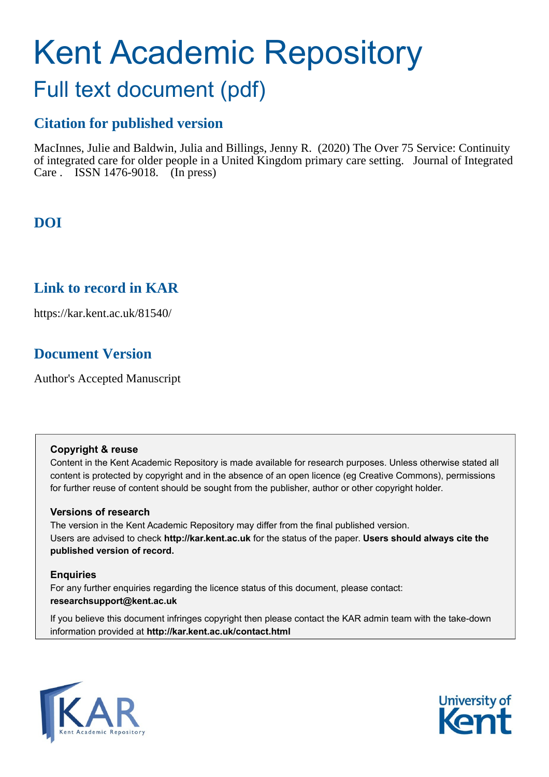# Kent Academic Repository

## Full text document (pdf)

## **Citation for published version**

MacInnes, Julie and Baldwin, Julia and Billings, Jenny R. (2020) The Over 75 Service: Continuity of integrated care for older people in a United Kingdom primary care setting. Journal of Integrated Care . ISSN 1476-9018. (In press)

## **DOI**

### **Link to record in KAR**

https://kar.kent.ac.uk/81540/

## **Document Version**

Author's Accepted Manuscript

#### **Copyright & reuse**

Content in the Kent Academic Repository is made available for research purposes. Unless otherwise stated all content is protected by copyright and in the absence of an open licence (eg Creative Commons), permissions for further reuse of content should be sought from the publisher, author or other copyright holder.

#### **Versions of research**

The version in the Kent Academic Repository may differ from the final published version. Users are advised to check **http://kar.kent.ac.uk** for the status of the paper. **Users should always cite the published version of record.**

#### **Enquiries**

For any further enquiries regarding the licence status of this document, please contact: **researchsupport@kent.ac.uk**

If you believe this document infringes copyright then please contact the KAR admin team with the take-down information provided at **http://kar.kent.ac.uk/contact.html**



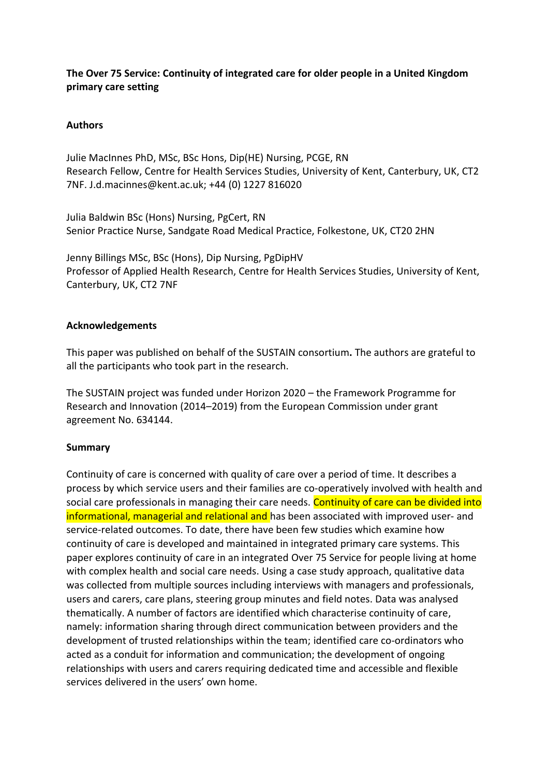#### **The Over 75 Service: Continuity of integrated care for older people in a United Kingdom primary care setting**

#### **Authors**

Julie MacInnes PhD, MSc, BSc Hons, Dip(HE) Nursing, PCGE, RN Research Fellow, Centre for Health Services Studies, University of Kent, Canterbury, UK, CT2 7NF. [J.d.macinnes@kent.ac.uk;](mailto:J.d.macinnes@kent.ac.uk) +44 (0) 1227 816020

Julia Baldwin BSc (Hons) Nursing, PgCert, RN Senior Practice Nurse, Sandgate Road Medical Practice, Folkestone, UK, CT20 2HN

Jenny Billings MSc, BSc (Hons), Dip Nursing, PgDipHV Professor of Applied Health Research, Centre for Health Services Studies, University of Kent, Canterbury, UK, CT2 7NF

#### **Acknowledgements**

This paper was published on behalf of the SUSTAIN consortium**.** The authors are grateful to all the participants who took part in the research.

The SUSTAIN project was funded under Horizon 2020 – the Framework Programme for Research and Innovation (2014–2019) from the European Commission under grant agreement No. 634144.

#### **Summary**

Continuity of care is concerned with quality of care over a period of time. It describes a process by which service users and their families are co-operatively involved with health and social care professionals in managing their care needs. Continuity of care can be divided into informational, managerial and relational and has been associated with improved user- and service-related outcomes. To date, there have been few studies which examine how continuity of care is developed and maintained in integrated primary care systems. This paper explores continuity of care in an integrated Over 75 Service for people living at home with complex health and social care needs. Using a case study approach, qualitative data was collected from multiple sources including interviews with managers and professionals, users and carers, care plans, steering group minutes and field notes. Data was analysed thematically. A number of factors are identified which characterise continuity of care, namely: information sharing through direct communication between providers and the development of trusted relationships within the team; identified care co-ordinators who acted as a conduit for information and communication; the development of ongoing relationships with users and carers requiring dedicated time and accessible and flexible services delivered in the users' own home.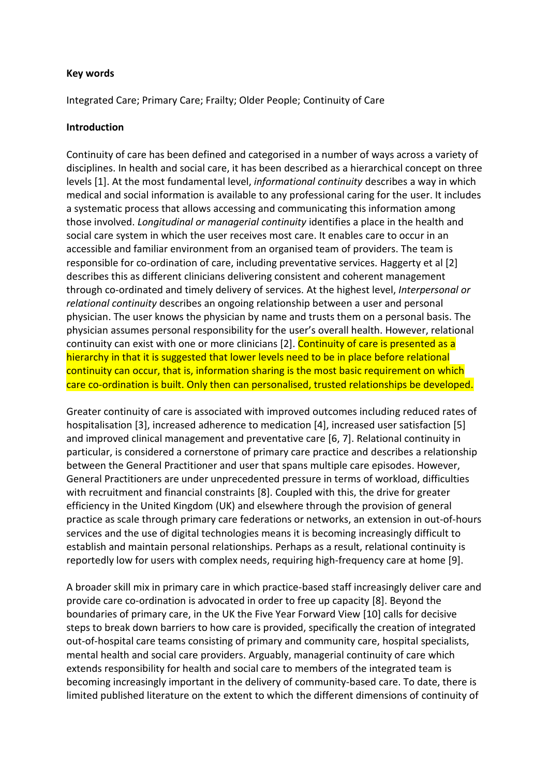#### **Key words**

Integrated Care; Primary Care; Frailty; Older People; Continuity of Care

#### **Introduction**

Continuity of care has been defined and categorised in a number of ways across a variety of disciplines. In health and social care, it has been described as a hierarchical concept on three levels [1]. At the most fundamental level, *informational continuity* describes a way in which medical and social information is available to any professional caring for the user. It includes a systematic process that allows accessing and communicating this information among those involved. *Longitudinal or managerial continuity* identifies a place in the health and social care system in which the user receives most care. It enables care to occur in an accessible and familiar environment from an organised team of providers. The team is responsible for co-ordination of care, including preventative services. Haggerty et al [2] describes this as different clinicians delivering consistent and coherent management through co-ordinated and timely delivery of services. At the highest level, *Interpersonal or relational continuity* describes an ongoing relationship between a user and personal physician. The user knows the physician by name and trusts them on a personal basis. The physician assumes personal responsibility for the user's overall health. However, relational continuity can exist with one or more clinicians [2]. Continuity of care is presented as a hierarchy in that it is suggested that lower levels need to be in place before relational continuity can occur, that is, information sharing is the most basic requirement on which care co-ordination is built. Only then can personalised, trusted relationships be developed.

Greater continuity of care is associated with improved outcomes including reduced rates of hospitalisation [3], increased adherence to medication [4], increased user satisfaction [5] and improved clinical management and preventative care [6, 7]. Relational continuity in particular, is considered a cornerstone of primary care practice and describes a relationship between the General Practitioner and user that spans multiple care episodes. However, General Practitioners are under unprecedented pressure in terms of workload, difficulties with recruitment and financial constraints [8]. Coupled with this, the drive for greater efficiency in the United Kingdom (UK) and elsewhere through the provision of general practice as scale through primary care federations or networks, an extension in out-of-hours services and the use of digital technologies means it is becoming increasingly difficult to establish and maintain personal relationships. Perhaps as a result, relational continuity is reportedly low for users with complex needs, requiring high-frequency care at home [9].

A broader skill mix in primary care in which practice-based staff increasingly deliver care and provide care co-ordination is advocated in order to free up capacity [8]. Beyond the boundaries of primary care, in the UK the Five Year Forward View [10] calls for decisive steps to break down barriers to how care is provided, specifically the creation of integrated out-of-hospital care teams consisting of primary and community care, hospital specialists, mental health and social care providers. Arguably, managerial continuity of care which extends responsibility for health and social care to members of the integrated team is becoming increasingly important in the delivery of community-based care. To date, there is limited published literature on the extent to which the different dimensions of continuity of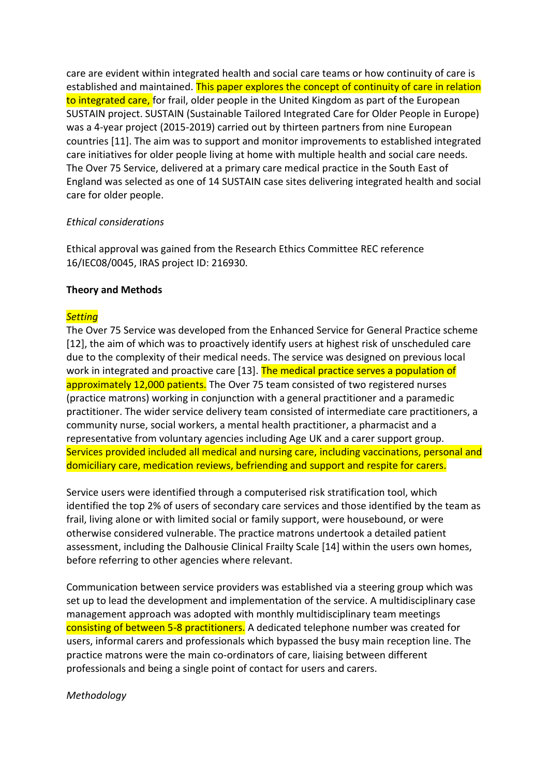care are evident within integrated health and social care teams or how continuity of care is established and maintained. This paper explores the concept of continuity of care in relation to integrated care, for frail, older people in the United Kingdom as part of the European SUSTAIN project. SUSTAIN (Sustainable Tailored Integrated Care for Older People in Europe) was a 4-year project (2015-2019) carried out by thirteen partners from nine European countries [11]. The aim was to support and monitor improvements to established integrated care initiatives for older people living at home with multiple health and social care needs. The Over 75 Service, delivered at a primary care medical practice in the South East of England was selected as one of 14 SUSTAIN case sites delivering integrated health and social care for older people.

#### *Ethical considerations*

Ethical approval was gained from the Research Ethics Committee REC reference 16/IEC08/0045, IRAS project ID: 216930.

#### **Theory and Methods**

#### *Setting*

The Over 75 Service was developed from the Enhanced Service for General Practice scheme [12], the aim of which was to proactively identify users at highest risk of unscheduled care due to the complexity of their medical needs. The service was designed on previous local work in integrated and proactive care [13]. The medical practice serves a population of approximately 12,000 patients. The Over 75 team consisted of two registered nurses (practice matrons) working in conjunction with a general practitioner and a paramedic practitioner. The wider service delivery team consisted of intermediate care practitioners, a community nurse, social workers, a mental health practitioner, a pharmacist and a representative from voluntary agencies including Age UK and a carer support group. Services provided included all medical and nursing care, including vaccinations, personal and domiciliary care, medication reviews, befriending and support and respite for carers.

Service users were identified through a computerised risk stratification tool, which identified the top 2% of users of secondary care services and those identified by the team as frail, living alone or with limited social or family support, were housebound, or were otherwise considered vulnerable. The practice matrons undertook a detailed patient assessment, including the Dalhousie Clinical Frailty Scale [14] within the users own homes, before referring to other agencies where relevant.

Communication between service providers was established via a steering group which was set up to lead the development and implementation of the service. A multidisciplinary case management approach was adopted with monthly multidisciplinary team meetings consisting of between 5-8 practitioners. A dedicated telephone number was created for users, informal carers and professionals which bypassed the busy main reception line. The practice matrons were the main co-ordinators of care, liaising between different professionals and being a single point of contact for users and carers.

#### *Methodology*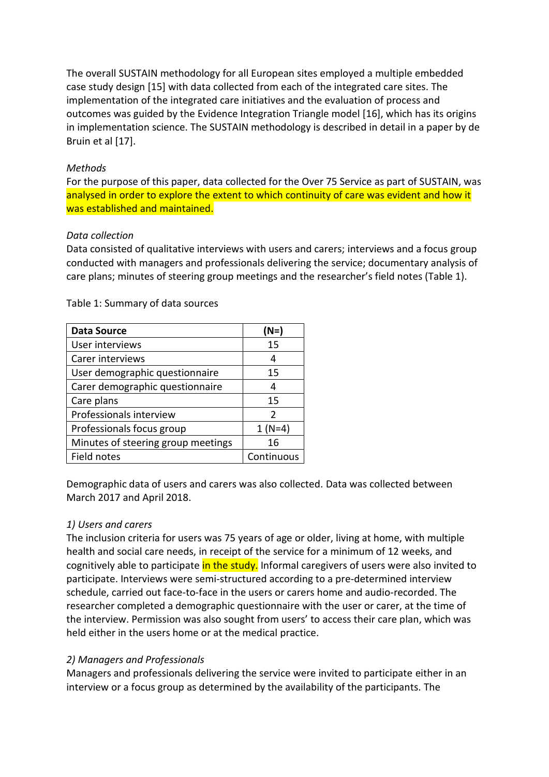The overall SUSTAIN methodology for all European sites employed a multiple embedded case study design [15] with data collected from each of the integrated care sites. The implementation of the integrated care initiatives and the evaluation of process and outcomes was guided by the Evidence Integration Triangle model [16], which has its origins in implementation science. The SUSTAIN methodology is described in detail in a paper by de Bruin et al [17].

#### *Methods*

For the purpose of this paper, data collected for the Over 75 Service as part of SUSTAIN, was analysed in order to explore the extent to which continuity of care was evident and how it was established and maintained.

#### *Data collection*

Data consisted of qualitative interviews with users and carers; interviews and a focus group conducted with managers and professionals delivering the service; documentary analysis of care plans; minutes of steering group meetings and the researcher's field notes (Table 1).

| <b>Data Source</b>                 | (N=)          |
|------------------------------------|---------------|
| User interviews                    | 15            |
| Carer interviews                   | 4             |
| User demographic questionnaire     | 15            |
| Carer demographic questionnaire    | 4             |
| Care plans                         | 15            |
| Professionals interview            | $\mathcal{P}$ |
| Professionals focus group          | $1(N=4)$      |
| Minutes of steering group meetings | 16            |
| Field notes                        | Continuous    |

Table 1: Summary of data sources

Demographic data of users and carers was also collected. Data was collected between March 2017 and April 2018.

#### *1) Users and carers*

The inclusion criteria for users was 75 years of age or older, living at home, with multiple health and social care needs, in receipt of the service for a minimum of 12 weeks, and cognitively able to participate in the study. Informal caregivers of users were also invited to participate. Interviews were semi-structured according to a pre-determined interview schedule, carried out face-to-face in the users or carers home and audio-recorded. The researcher completed a demographic questionnaire with the user or carer, at the time of the interview. Permission was also sought from users' to access their care plan, which was held either in the users home or at the medical practice.

#### *2) Managers and Professionals*

Managers and professionals delivering the service were invited to participate either in an interview or a focus group as determined by the availability of the participants. The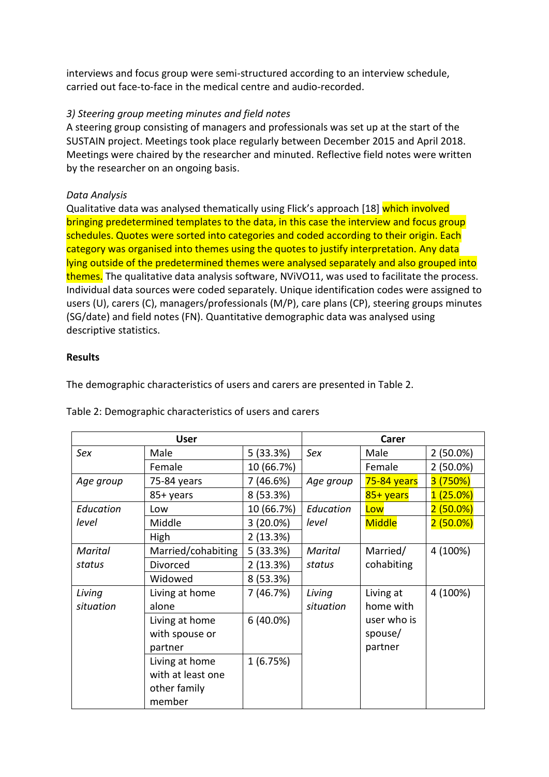interviews and focus group were semi-structured according to an interview schedule, carried out face-to-face in the medical centre and audio-recorded.

#### *3) Steering group meeting minutes and field notes*

A steering group consisting of managers and professionals was set up at the start of the SUSTAIN project. Meetings took place regularly between December 2015 and April 2018. Meetings were chaired by the researcher and minuted. Reflective field notes were written by the researcher on an ongoing basis.

#### *Data Analysis*

Qualitative data was analysed thematically using Flick's approach [18] which involved bringing predetermined templates to the data, in this case the interview and focus group schedules. Quotes were sorted into categories and coded according to their origin. Each category was organised into themes using the quotes to justify interpretation. Any data lying outside of the predetermined themes were analysed separately and also grouped into themes. The qualitative data analysis software, NViVO11, was used to facilitate the process. Individual data sources were coded separately. Unique identification codes were assigned to users (U), carers (C), managers/professionals (M/P), care plans (CP), steering groups minutes (SG/date) and field notes (FN). Quantitative demographic data was analysed using descriptive statistics.

#### **Results**

The demographic characteristics of users and carers are presented in Table 2.

| <b>User</b> |                    | Carer       |           |               |             |
|-------------|--------------------|-------------|-----------|---------------|-------------|
| Sex         | Male               | 5(33.3%)    | Sex       | Male          | $2(50.0\%)$ |
|             | Female             | 10 (66.7%)  |           | Female        | $2(50.0\%)$ |
| Age group   | 75-84 years        | 7(46.6%)    | Age group | 75-84 years   | 3 (750%)    |
|             | 85+ years          | 8 (53.3%)   |           | 85+ years     | $1(25.0\%)$ |
| Education   | Low                | 10 (66.7%)  | Education | Low           | $2(50.0\%)$ |
| level       | Middle             | $3(20.0\%)$ | level     | <b>Middle</b> | $2(50.0\%)$ |
|             | High               | 2(13.3%)    |           |               |             |
| Marital     | Married/cohabiting | 5(33.3%)    | Marital   | Married/      | 4 (100%)    |
| status      | Divorced           | 2(13.3%)    | status    | cohabiting    |             |
|             | Widowed            | 8 (53.3%)   |           |               |             |
| Living      | Living at home     | 7(46.7%)    | Living    | Living at     | 4 (100%)    |
| situation   | alone              |             | situation | home with     |             |
|             | Living at home     | $6(40.0\%)$ |           | user who is   |             |
|             | with spouse or     |             |           | spouse/       |             |
|             | partner            |             |           | partner       |             |
|             | Living at home     | 1(6.75%)    |           |               |             |
|             | with at least one  |             |           |               |             |
|             | other family       |             |           |               |             |
|             | member             |             |           |               |             |

Table 2: Demographic characteristics of users and carers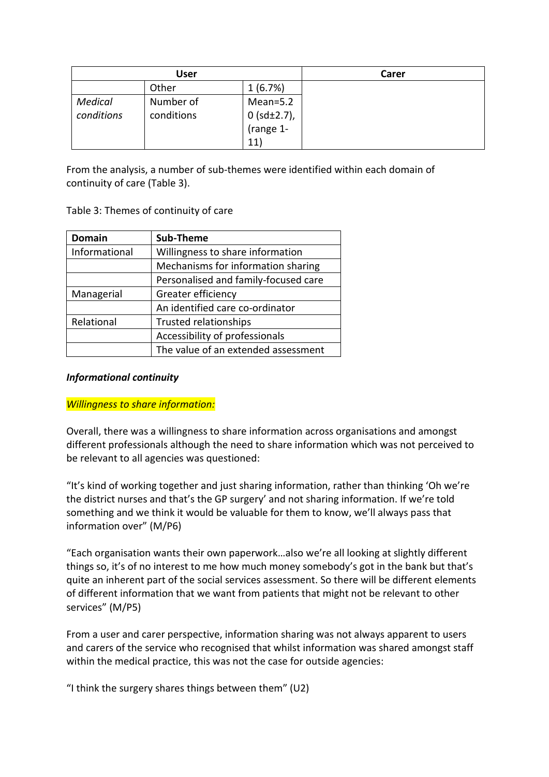|                | User       |                   | Carer |
|----------------|------------|-------------------|-------|
|                | Other      | 1(6.7%)           |       |
| <b>Medical</b> | Number of  | $Mean=5.2$        |       |
| conditions     | conditions | 0 (sd $\pm$ 2.7), |       |
|                |            | (range 1-         |       |
|                |            | 11                |       |

From the analysis, a number of sub-themes were identified within each domain of continuity of care (Table 3).

Table 3: Themes of continuity of care

| <b>Domain</b> | Sub-Theme                            |  |  |
|---------------|--------------------------------------|--|--|
| Informational | Willingness to share information     |  |  |
|               | Mechanisms for information sharing   |  |  |
|               | Personalised and family-focused care |  |  |
| Managerial    | Greater efficiency                   |  |  |
|               | An identified care co-ordinator      |  |  |
| Relational    | <b>Trusted relationships</b>         |  |  |
|               | Accessibility of professionals       |  |  |
|               | The value of an extended assessment  |  |  |

#### *Informational continuity*

#### *Willingness to share information:*

Overall, there was a willingness to share information across organisations and amongst different professionals although the need to share information which was not perceived to be relevant to all agencies was questioned:

"It's kind of working together and just sharing information, rather than thinking 'Oh we're the district nurses and that's the GP surgery' and not sharing information. If we're told something and we think it would be valuable for them to know, we'll always pass that information over" (M/P6)

"Each organisation wants their own paperwork…also we're all looking at slightly different things so, it's of no interest to me how much money somebody's got in the bank but that's quite an inherent part of the social services assessment. So there will be different elements of different information that we want from patients that might not be relevant to other services" (M/P5)

From a user and carer perspective, information sharing was not always apparent to users and carers of the service who recognised that whilst information was shared amongst staff within the medical practice, this was not the case for outside agencies:

"I think the surgery shares things between them" (U2)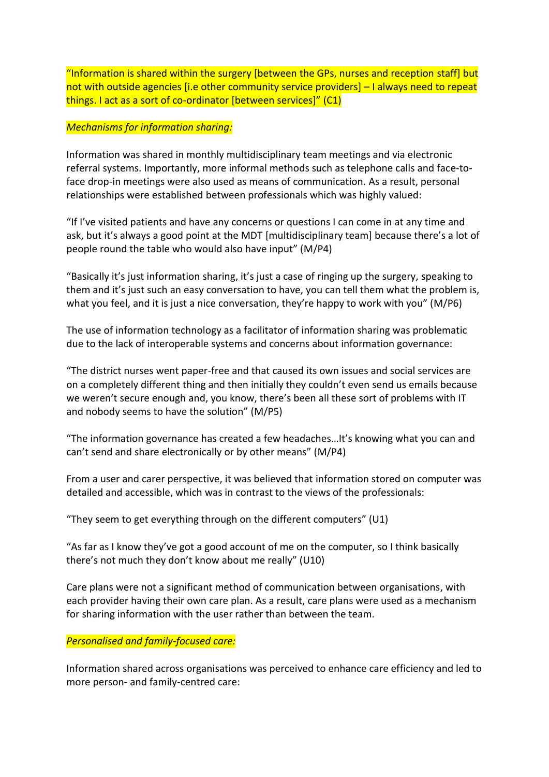"Information is shared within the surgery [between the GPs, nurses and reception staff] but not with outside agencies [i.e other community service providers] – I always need to repeat things. I act as a sort of co-ordinator [between services]" (C1)

#### *Mechanisms for information sharing:*

Information was shared in monthly multidisciplinary team meetings and via electronic referral systems. Importantly, more informal methods such as telephone calls and face-toface drop-in meetings were also used as means of communication. As a result, personal relationships were established between professionals which was highly valued:

"If I've visited patients and have any concerns or questions I can come in at any time and ask, but it's always a good point at the MDT [multidisciplinary team] because there's a lot of people round the table who would also have input" (M/P4)

"Basically it's just information sharing, it's just a case of ringing up the surgery, speaking to them and it's just such an easy conversation to have, you can tell them what the problem is, what you feel, and it is just a nice conversation, they're happy to work with you" (M/P6)

The use of information technology as a facilitator of information sharing was problematic due to the lack of interoperable systems and concerns about information governance:

"The district nurses went paper-free and that caused its own issues and social services are on a completely different thing and then initially they couldn't even send us emails because we weren't secure enough and, you know, there's been all these sort of problems with IT and nobody seems to have the solution" (M/P5)

"The information governance has created a few headaches…It's knowing what you can and can't send and share electronically or by other means" (M/P4)

From a user and carer perspective, it was believed that information stored on computer was detailed and accessible, which was in contrast to the views of the professionals:

"They seem to get everything through on the different computers" (U1)

"As far as I know they've got a good account of me on the computer, so I think basically there's not much they don't know about me really" (U10)

Care plans were not a significant method of communication between organisations, with each provider having their own care plan. As a result, care plans were used as a mechanism for sharing information with the user rather than between the team.

#### *Personalised and family-focused care:*

Information shared across organisations was perceived to enhance care efficiency and led to more person- and family-centred care: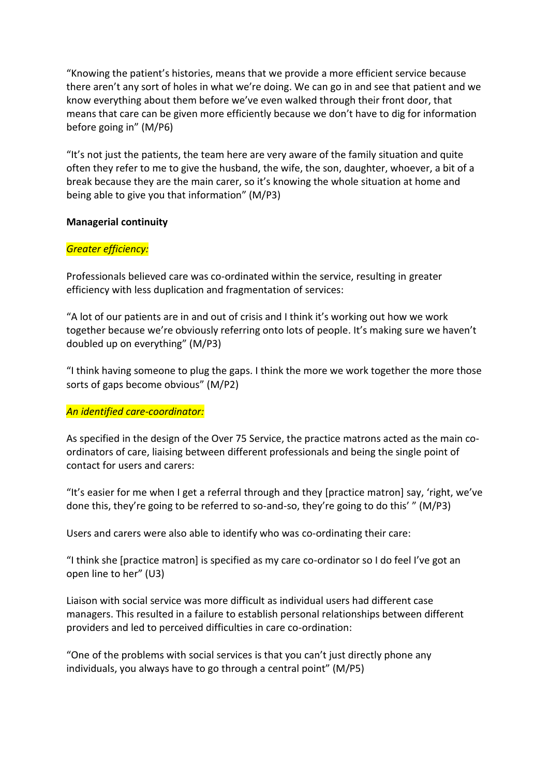"Knowing the patient's histories, means that we provide a more efficient service because there aren't any sort of holes in what we're doing. We can go in and see that patient and we know everything about them before we've even walked through their front door, that means that care can be given more efficiently because we don't have to dig for information before going in" (M/P6)

"It's not just the patients, the team here are very aware of the family situation and quite often they refer to me to give the husband, the wife, the son, daughter, whoever, a bit of a break because they are the main carer, so it's knowing the whole situation at home and being able to give you that information" (M/P3)

#### **Managerial continuity**

#### *Greater efficiency:*

Professionals believed care was co-ordinated within the service, resulting in greater efficiency with less duplication and fragmentation of services:

"A lot of our patients are in and out of crisis and I think it's working out how we work together because we're obviously referring onto lots of people. It's making sure we haven't doubled up on everything" (M/P3)

"I think having someone to plug the gaps. I think the more we work together the more those sorts of gaps become obvious" (M/P2)

#### *An identified care-coordinator:*

As specified in the design of the Over 75 Service, the practice matrons acted as the main coordinators of care, liaising between different professionals and being the single point of contact for users and carers:

"It's easier for me when I get a referral through and they [practice matron] say, 'right, we've done this, they're going to be referred to so-and-so, they're going to do this' " (M/P3)

Users and carers were also able to identify who was co-ordinating their care:

"I think she [practice matron] is specified as my care co-ordinator so I do feel I've got an open line to her" (U3)

Liaison with social service was more difficult as individual users had different case managers. This resulted in a failure to establish personal relationships between different providers and led to perceived difficulties in care co-ordination:

"One of the problems with social services is that you can't just directly phone any individuals, you always have to go through a central point" (M/P5)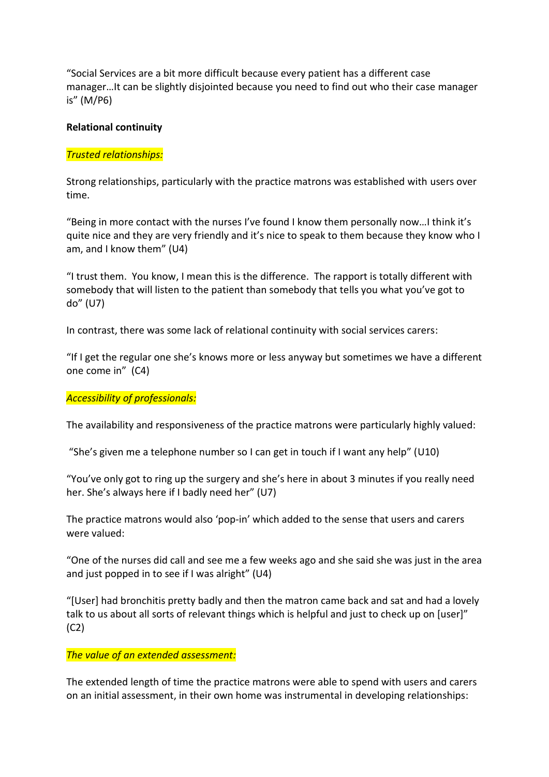"Social Services are a bit more difficult because every patient has a different case manager…It can be slightly disjointed because you need to find out who their case manager is" (M/P6)

#### **Relational continuity**

#### *Trusted relationships:*

Strong relationships, particularly with the practice matrons was established with users over time.

"Being in more contact with the nurses I've found I know them personally now…I think it's quite nice and they are very friendly and it's nice to speak to them because they know who I am, and I know them" (U4)

"I trust them. You know, I mean this is the difference. The rapport is totally different with somebody that will listen to the patient than somebody that tells you what you've got to do" (U7)

In contrast, there was some lack of relational continuity with social services carers:

"If I get the regular one she's knows more or less anyway but sometimes we have a different one come in" (C4)

#### *Accessibility of professionals:*

The availability and responsiveness of the practice matrons were particularly highly valued:

"She's given me a telephone number so I can get in touch if I want any help" (U10)

"You've only got to ring up the surgery and she's here in about 3 minutes if you really need her. She's always here if I badly need her" (U7)

The practice matrons would also 'pop-in' which added to the sense that users and carers were valued:

"One of the nurses did call and see me a few weeks ago and she said she was just in the area and just popped in to see if I was alright" (U4)

"[User] had bronchitis pretty badly and then the matron came back and sat and had a lovely talk to us about all sorts of relevant things which is helpful and just to check up on [user]" (C2)

#### *The value of an extended assessment:*

The extended length of time the practice matrons were able to spend with users and carers on an initial assessment, in their own home was instrumental in developing relationships: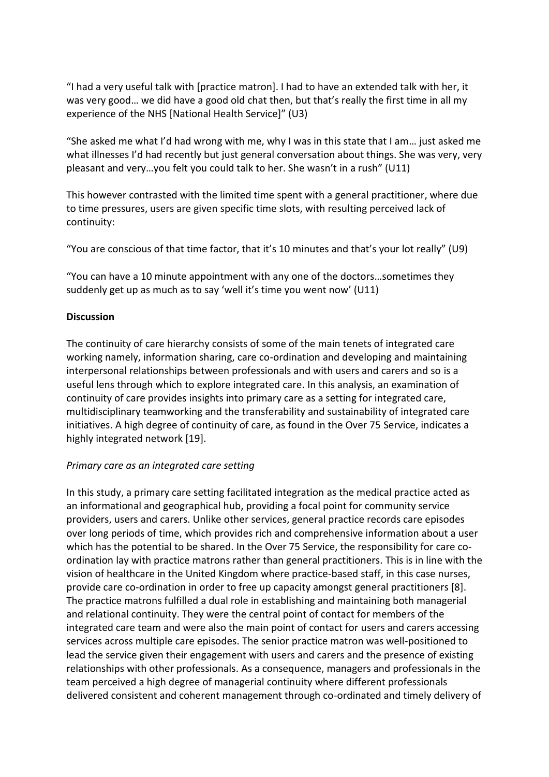"I had a very useful talk with [practice matron]. I had to have an extended talk with her, it was very good… we did have a good old chat then, but that's really the first time in all my experience of the NHS [National Health Service]" (U3)

"She asked me what I'd had wrong with me, why I was in this state that I am… just asked me what illnesses I'd had recently but just general conversation about things. She was very, very pleasant and very…you felt you could talk to her. She wasn't in a rush" (U11)

This however contrasted with the limited time spent with a general practitioner, where due to time pressures, users are given specific time slots, with resulting perceived lack of continuity:

"You are conscious of that time factor, that it's 10 minutes and that's your lot really" (U9)

"You can have a 10 minute appointment with any one of the doctors…sometimes they suddenly get up as much as to say 'well it's time you went now' (U11)

#### **Discussion**

The continuity of care hierarchy consists of some of the main tenets of integrated care working namely, information sharing, care co-ordination and developing and maintaining interpersonal relationships between professionals and with users and carers and so is a useful lens through which to explore integrated care. In this analysis, an examination of continuity of care provides insights into primary care as a setting for integrated care, multidisciplinary teamworking and the transferability and sustainability of integrated care initiatives. A high degree of continuity of care, as found in the Over 75 Service, indicates a highly integrated network [19].

#### *Primary care as an integrated care setting*

In this study, a primary care setting facilitated integration as the medical practice acted as an informational and geographical hub, providing a focal point for community service providers, users and carers. Unlike other services, general practice records care episodes over long periods of time, which provides rich and comprehensive information about a user which has the potential to be shared. In the Over 75 Service, the responsibility for care coordination lay with practice matrons rather than general practitioners. This is in line with the vision of healthcare in the United Kingdom where practice-based staff, in this case nurses, provide care co-ordination in order to free up capacity amongst general practitioners [8]. The practice matrons fulfilled a dual role in establishing and maintaining both managerial and relational continuity. They were the central point of contact for members of the integrated care team and were also the main point of contact for users and carers accessing services across multiple care episodes. The senior practice matron was well-positioned to lead the service given their engagement with users and carers and the presence of existing relationships with other professionals. As a consequence, managers and professionals in the team perceived a high degree of managerial continuity where different professionals delivered consistent and coherent management through co-ordinated and timely delivery of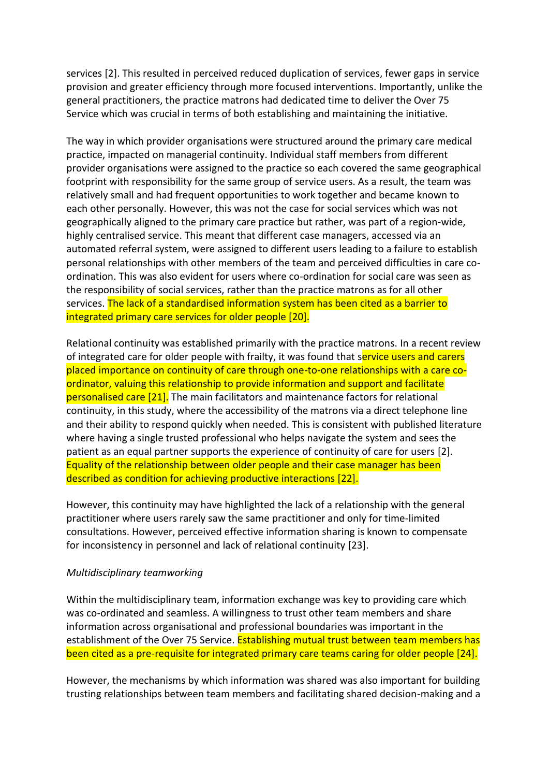services [2]. This resulted in perceived reduced duplication of services, fewer gaps in service provision and greater efficiency through more focused interventions. Importantly, unlike the general practitioners, the practice matrons had dedicated time to deliver the Over 75 Service which was crucial in terms of both establishing and maintaining the initiative.

The way in which provider organisations were structured around the primary care medical practice, impacted on managerial continuity. Individual staff members from different provider organisations were assigned to the practice so each covered the same geographical footprint with responsibility for the same group of service users. As a result, the team was relatively small and had frequent opportunities to work together and became known to each other personally. However, this was not the case for social services which was not geographically aligned to the primary care practice but rather, was part of a region-wide, highly centralised service. This meant that different case managers, accessed via an automated referral system, were assigned to different users leading to a failure to establish personal relationships with other members of the team and perceived difficulties in care coordination. This was also evident for users where co-ordination for social care was seen as the responsibility of social services, rather than the practice matrons as for all other services. The lack of a standardised information system has been cited as a barrier to integrated primary care services for older people [20].

Relational continuity was established primarily with the practice matrons. In a recent review of integrated care for older people with frailty, it was found that service users and carers placed importance on continuity of care through one-to-one relationships with a care coordinator, valuing this relationship to provide information and support and facilitate personalised care [21]. The main facilitators and maintenance factors for relational continuity, in this study, where the accessibility of the matrons via a direct telephone line and their ability to respond quickly when needed. This is consistent with published literature where having a single trusted professional who helps navigate the system and sees the patient as an equal partner supports the experience of continuity of care for users [2]. Equality of the relationship between older people and their case manager has been described as condition for achieving productive interactions [22].

However, this continuity may have highlighted the lack of a relationship with the general practitioner where users rarely saw the same practitioner and only for time-limited consultations. However, perceived effective information sharing is known to compensate for inconsistency in personnel and lack of relational continuity [23].

#### *Multidisciplinary teamworking*

Within the multidisciplinary team, information exchange was key to providing care which was co-ordinated and seamless. A willingness to trust other team members and share information across organisational and professional boundaries was important in the establishment of the Over 75 Service. Establishing mutual trust between team members has been cited as a pre-requisite for integrated primary care teams caring for older people [24].

However, the mechanisms by which information was shared was also important for building trusting relationships between team members and facilitating shared decision-making and a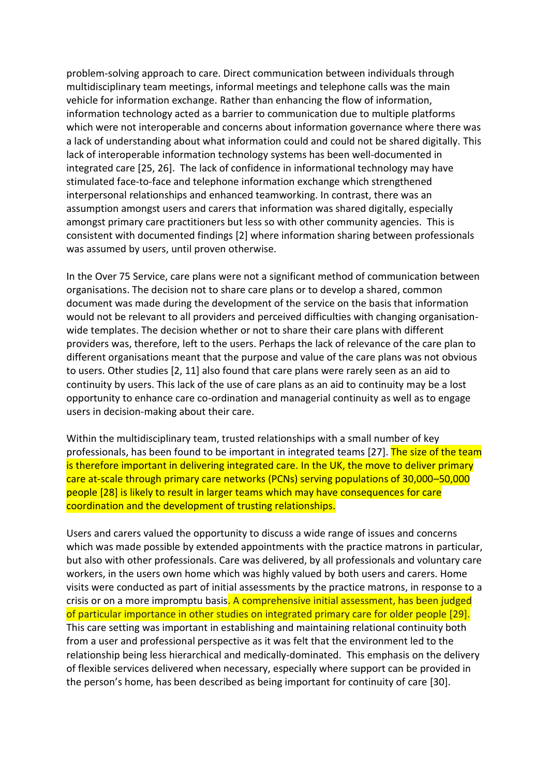problem-solving approach to care. Direct communication between individuals through multidisciplinary team meetings, informal meetings and telephone calls was the main vehicle for information exchange. Rather than enhancing the flow of information, information technology acted as a barrier to communication due to multiple platforms which were not interoperable and concerns about information governance where there was a lack of understanding about what information could and could not be shared digitally. This lack of interoperable information technology systems has been well-documented in integrated care [25, 26]. The lack of confidence in informational technology may have stimulated face-to-face and telephone information exchange which strengthened interpersonal relationships and enhanced teamworking. In contrast, there was an assumption amongst users and carers that information was shared digitally, especially amongst primary care practitioners but less so with other community agencies. This is consistent with documented findings [2] where information sharing between professionals was assumed by users, until proven otherwise.

In the Over 75 Service, care plans were not a significant method of communication between organisations. The decision not to share care plans or to develop a shared, common document was made during the development of the service on the basis that information would not be relevant to all providers and perceived difficulties with changing organisationwide templates. The decision whether or not to share their care plans with different providers was, therefore, left to the users. Perhaps the lack of relevance of the care plan to different organisations meant that the purpose and value of the care plans was not obvious to users. Other studies [2, 11] also found that care plans were rarely seen as an aid to continuity by users. This lack of the use of care plans as an aid to continuity may be a lost opportunity to enhance care co-ordination and managerial continuity as well as to engage users in decision-making about their care.

Within the multidisciplinary team, trusted relationships with a small number of key professionals, has been found to be important in integrated teams [27]. The size of the team is therefore important in delivering integrated care. In the UK, the move to deliver primary care at-scale through primary care networks (PCNs) serving populations of 30,000–50,000 people [28] is likely to result in larger teams which may have consequences for care coordination and the development of trusting relationships.

Users and carers valued the opportunity to discuss a wide range of issues and concerns which was made possible by extended appointments with the practice matrons in particular, but also with other professionals. Care was delivered, by all professionals and voluntary care workers, in the users own home which was highly valued by both users and carers. Home visits were conducted as part of initial assessments by the practice matrons, in response to a crisis or on a more impromptu basis. A comprehensive initial assessment, has been judged of particular importance in other studies on integrated primary care for older people [29]. This care setting was important in establishing and maintaining relational continuity both from a user and professional perspective as it was felt that the environment led to the relationship being less hierarchical and medically-dominated. This emphasis on the delivery of flexible services delivered when necessary, especially where support can be provided in the person's home, has been described as being important for continuity of care [30].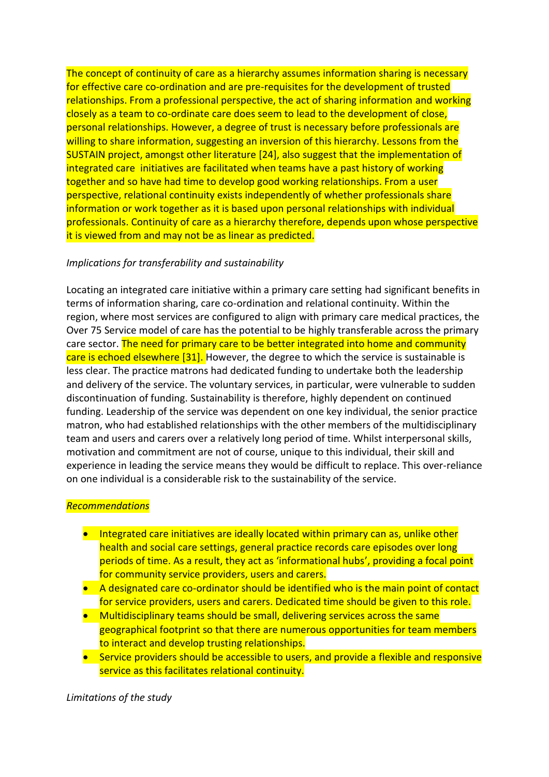The concept of continuity of care as a hierarchy assumes information sharing is necessary for effective care co-ordination and are pre-requisites for the development of trusted relationships. From a professional perspective, the act of sharing information and working closely as a team to co-ordinate care does seem to lead to the development of close, personal relationships. However, a degree of trust is necessary before professionals are willing to share information, suggesting an inversion of this hierarchy. Lessons from the SUSTAIN project, amongst other literature [24], also suggest that the implementation of integrated care initiatives are facilitated when teams have a past history of working together and so have had time to develop good working relationships. From a user perspective, relational continuity exists independently of whether professionals share information or work together as it is based upon personal relationships with individual professionals. Continuity of care as a hierarchy therefore, depends upon whose perspective it is viewed from and may not be as linear as predicted.

#### *Implications for transferability and sustainability*

Locating an integrated care initiative within a primary care setting had significant benefits in terms of information sharing, care co-ordination and relational continuity. Within the region, where most services are configured to align with primary care medical practices, the Over 75 Service model of care has the potential to be highly transferable across the primary care sector. The need for primary care to be better integrated into home and community care is echoed elsewhere [31]. However, the degree to which the service is sustainable is less clear. The practice matrons had dedicated funding to undertake both the leadership and delivery of the service. The voluntary services, in particular, were vulnerable to sudden discontinuation of funding. Sustainability is therefore, highly dependent on continued funding. Leadership of the service was dependent on one key individual, the senior practice matron, who had established relationships with the other members of the multidisciplinary team and users and carers over a relatively long period of time. Whilst interpersonal skills, motivation and commitment are not of course, unique to this individual, their skill and experience in leading the service means they would be difficult to replace. This over-reliance on one individual is a considerable risk to the sustainability of the service.

#### *Recommendations*

- Integrated care initiatives are ideally located within primary can as, unlike other health and social care settings, general practice records care episodes over long periods of time. As a result, they act as 'informational hubs', providing a focal point for community service providers, users and carers.
- A designated care co-ordinator should be identified who is the main point of contact for service providers, users and carers. Dedicated time should be given to this role.
- Multidisciplinary teams should be small, delivering services across the same geographical footprint so that there are numerous opportunities for team members to interact and develop trusting relationships.
- Service providers should be accessible to users, and provide a flexible and responsive service as this facilitates relational continuity.

*Limitations of the study*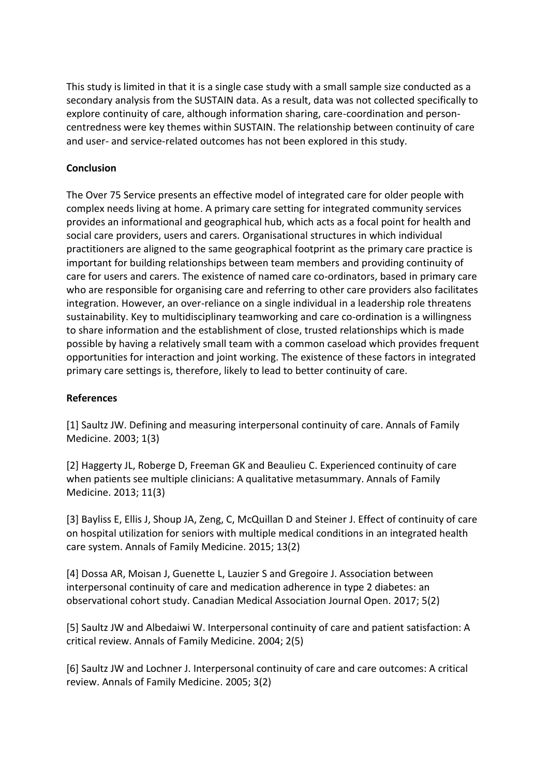This study is limited in that it is a single case study with a small sample size conducted as a secondary analysis from the SUSTAIN data. As a result, data was not collected specifically to explore continuity of care, although information sharing, care-coordination and personcentredness were key themes within SUSTAIN. The relationship between continuity of care and user- and service-related outcomes has not been explored in this study.

#### **Conclusion**

The Over 75 Service presents an effective model of integrated care for older people with complex needs living at home. A primary care setting for integrated community services provides an informational and geographical hub, which acts as a focal point for health and social care providers, users and carers. Organisational structures in which individual practitioners are aligned to the same geographical footprint as the primary care practice is important for building relationships between team members and providing continuity of care for users and carers. The existence of named care co-ordinators, based in primary care who are responsible for organising care and referring to other care providers also facilitates integration. However, an over-reliance on a single individual in a leadership role threatens sustainability. Key to multidisciplinary teamworking and care co-ordination is a willingness to share information and the establishment of close, trusted relationships which is made possible by having a relatively small team with a common caseload which provides frequent opportunities for interaction and joint working. The existence of these factors in integrated primary care settings is, therefore, likely to lead to better continuity of care.

#### **References**

[1] Saultz JW. Defining and measuring interpersonal continuity of care. Annals of Family Medicine. 2003; 1(3)

[2] Haggerty JL, Roberge D, Freeman GK and Beaulieu C. Experienced continuity of care when patients see multiple clinicians: A qualitative metasummary. Annals of Family Medicine. 2013; 11(3)

[3] Bayliss E, Ellis J, Shoup JA, Zeng, C, McQuillan D and Steiner J. Effect of continuity of care on hospital utilization for seniors with multiple medical conditions in an integrated health care system. Annals of Family Medicine. 2015; 13(2)

[4] Dossa AR, Moisan J, Guenette L, Lauzier S and Gregoire J. Association between interpersonal continuity of care and medication adherence in type 2 diabetes: an observational cohort study. Canadian Medical Association Journal Open. 2017; 5(2)

[5] Saultz JW and Albedaiwi W. Interpersonal continuity of care and patient satisfaction: A critical review. Annals of Family Medicine. 2004; 2(5)

[6] Saultz JW and Lochner J. Interpersonal continuity of care and care outcomes: A critical review. Annals of Family Medicine. 2005; 3(2)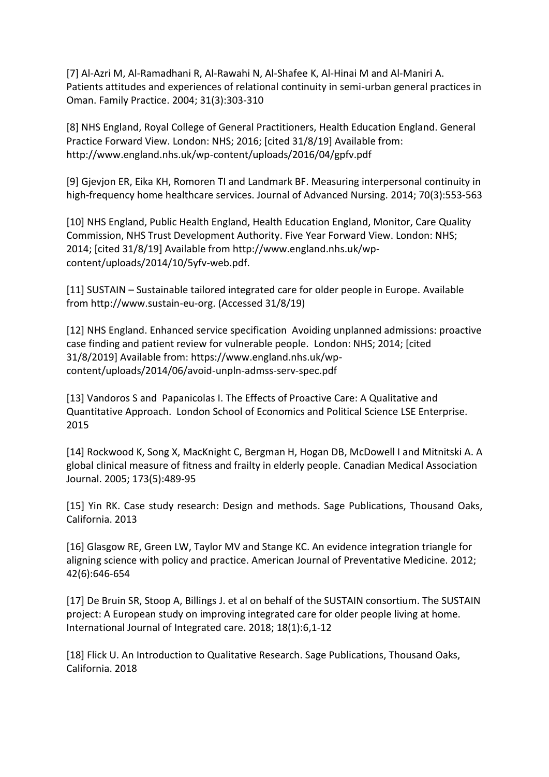[7] Al-Azri M, Al-Ramadhani R, Al-Rawahi N, Al-Shafee K, Al-Hinai M and Al-Maniri A. Patients attitudes and experiences of relational continuity in semi-urban general practices in Oman. Family Practice. 2004; 31(3):303-310

[8] NHS England, Royal College of General Practitioners, Health Education England. General Practice Forward View. London: NHS; 2016; [cited 31/8/19] Available from: <http://www.england.nhs.uk/wp-content/uploads/2016/04/gpfv.pdf>

[9] Gjevjon ER, Eika KH, Romoren TI and Landmark BF. Measuring interpersonal continuity in high-frequency home healthcare services. Journal of Advanced Nursing. 2014; 70(3):553-563

[10] NHS England, Public Health England, Health Education England, Monitor, Care Quality Commission, NHS Trust Development Authority. Five Year Forward View. London: NHS; 2014; [cited 31/8/19] Available from [http://www.england.nhs.uk/wp](http://www.england.nhs.uk/wp-content/uploads/2014/10/5yfv-web.pdf)[content/uploads/2014/10/5yfv-web.pdf.](http://www.england.nhs.uk/wp-content/uploads/2014/10/5yfv-web.pdf)

[11] SUSTAIN – Sustainable tailored integrated care for older people in Europe. Available from [http://www.sustain-eu-org.](http://www.sustain-eu-org/) (Accessed 31/8/19)

[12] NHS England. Enhanced service specification Avoiding unplanned admissions: proactive case finding and patient review for vulnerable people. London: NHS; 2014; [cited 31/8/2019] Available from: [https://www.england.nhs.uk/wp](https://www.england.nhs.uk/wp-content/uploads/2014/06/avoid-unpln-admss-serv-spec.pdf)[content/uploads/2014/06/avoid-unpln-admss-serv-spec.pdf](https://www.england.nhs.uk/wp-content/uploads/2014/06/avoid-unpln-admss-serv-spec.pdf)

[13] Vandoros S and Papanicolas I. The Effects of Proactive Care: A Qualitative and Quantitative Approach. London School of Economics and Political Science LSE Enterprise. 2015

[14] Rockwood K, Song X, MacKnight C, Bergman H, Hogan DB, McDowell I and Mitnitski A. A global clinical measure of fitness and frailty in elderly people. Canadian Medical Association Journal. 2005; 173(5):489-95

[15] Yin RK. Case study research: Design and methods. Sage Publications, Thousand Oaks, California. 2013

[16] Glasgow RE, Green LW, Taylor MV and Stange KC. An evidence integration triangle for aligning science with policy and practice. American Journal of Preventative Medicine. 2012; 42(6):646-654

[17] De Bruin SR, Stoop A, Billings J. et al on behalf of the SUSTAIN consortium. The SUSTAIN project: A European study on improving integrated care for older people living at home. International Journal of Integrated care. 2018; 18(1):6,1-12

[18] Flick U. An Introduction to Qualitative Research. Sage Publications, Thousand Oaks, California. 2018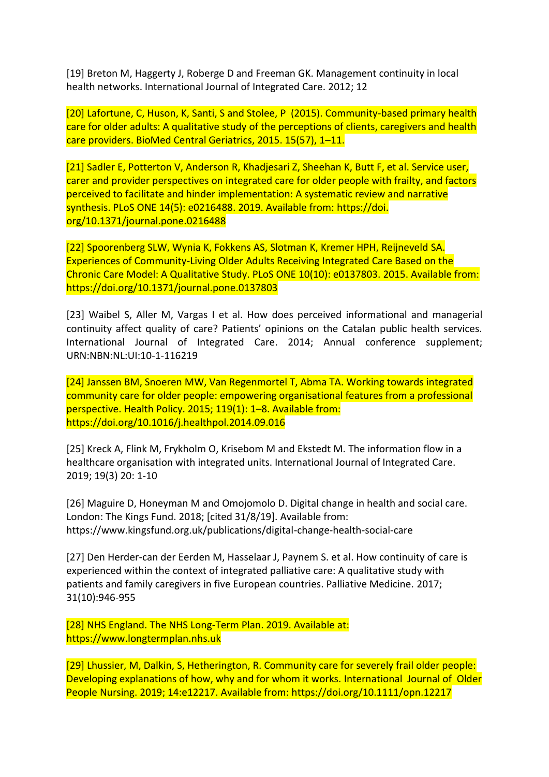[19] Breton M, Haggerty J, Roberge D and Freeman GK. Management continuity in local health networks. International Journal of Integrated Care. 2012; 12

[20] Lafortune, C, Huson, K, Santi, S and Stolee, P (2015). Community-based primary health care for older adults: A qualitative study of the perceptions of clients, caregivers and health care providers. BioMed Central Geriatrics, 2015. 15(57), 1–11.

[21] Sadler E, Potterton V, Anderson R, Khadjesari Z, Sheehan K, Butt F, et al. Service user, carer and provider perspectives on integrated care for older people with frailty, and factors perceived to facilitate and hinder implementation: A systematic review and narrative synthesis. PLoS ONE 14(5): e0216488. 2019. Available from: https://doi. org/10.1371/journal.pone.0216488

[22] Spoorenberg SLW, Wynia K, Fokkens AS, Slotman K, Kremer HPH, Reijneveld SA. Experiences of Community-Living Older Adults Receiving Integrated Care Based on the Chronic Care Model: A Qualitative Study. PLoS ONE 10(10): e0137803. 2015. Available from: <https://doi.org/10.1371/journal.pone.0137803>

[23] Waibel S, Aller M, Vargas I et al. How does perceived informational and managerial continuity affect quality of care? Patients' opinions on the Catalan public health services. International Journal of Integrated Care. 2014; Annual conference supplement; URN:NBN:NL:UI:10-1-116219

[24] Janssen BM, Snoeren MW, Van Regenmortel T, Abma TA. Working towards integrated community care for older people: empowering organisational features from a professional perspective. Health Policy. 2015; 119(1): 1–8. Available from: https://doi.org/10.1016/j.healthpol.2014.09.016

[25] Kreck A, Flink M, Frykholm O, Krisebom M and Ekstedt M. The information flow in a healthcare organisation with integrated units. International Journal of Integrated Care. 2019; 19(3) 20: 1-10

[26] Maguire D, Honeyman M and Omojomolo D. Digital change in health and social care. London: The Kings Fund. 2018; [cited 31/8/19]. Available from: <https://www.kingsfund.org.uk/publications/digital-change-health-social-care>

[27] Den Herder-can der Eerden M, Hasselaar J, Paynem S. et al. How continuity of care is experienced within the context of integrated palliative care: A qualitative study with patients and family caregivers in five European countries. Palliative Medicine. 2017; 31(10):946-955

[28] NHS England. The NHS Long-Term Plan. 2019. Available at: https://www.longtermplan.nhs.uk

[29] Lhussier, M, Dalkin, S, Hetherington, R. Community care for severely frail older people: Developing explanations of how, why and for whom it works. International Journal of Older People Nursing. 2019; 14:e12217. Available from:<https://doi.org/10.1111/opn.12217>